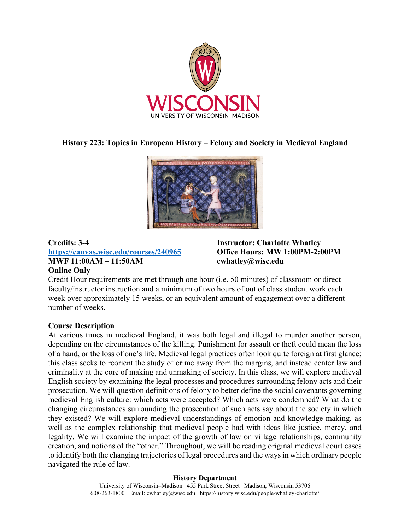

# **History 223: Topics in European History – Felony and Society in Medieval England**



### **Credits: 3-4 https://canvas.wisc.edu/courses/240965 MWF 11:00AM – 11:50AM Online Only**

**Instructor: Charlotte Whatley Office Hours: MW 1:00PM-2:00PM cwhatley@wisc.edu** 

Credit Hour requirements are met through one hour (i.e. 50 minutes) of classroom or direct faculty/instructor instruction and a minimum of two hours of out of class student work each week over approximately 15 weeks, or an equivalent amount of engagement over a different number of weeks.

### **Course Description**

At various times in medieval England, it was both legal and illegal to murder another person, depending on the circumstances of the killing. Punishment for assault or theft could mean the loss of a hand, or the loss of one's life. Medieval legal practices often look quite foreign at first glance; this class seeks to reorient the study of crime away from the margins, and instead center law and criminality at the core of making and unmaking of society. In this class, we will explore medieval English society by examining the legal processes and procedures surrounding felony acts and their prosecution. We will question definitions of felony to better define the social covenants governing medieval English culture: which acts were accepted? Which acts were condemned? What do the changing circumstances surrounding the prosecution of such acts say about the society in which they existed? We will explore medieval understandings of emotion and knowledge-making, as well as the complex relationship that medieval people had with ideas like justice, mercy, and legality. We will examine the impact of the growth of law on village relationships, community creation, and notions of the "other." Throughout, we will be reading original medieval court cases to identify both the changing trajectories of legal procedures and the ways in which ordinary people navigated the rule of law.

#### **History Department**

University of Wisconsin–Madison 455 Park Street Street Madison, Wisconsin 53706 608-263-1800 Email: cwhatley@wisc.edu https://history.wisc.edu/people/whatley-charlotte/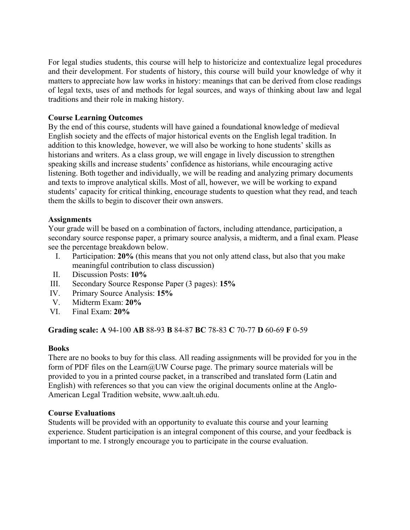For legal studies students, this course will help to historicize and contextualize legal procedures and their development. For students of history, this course will build your knowledge of why it matters to appreciate how law works in history: meanings that can be derived from close readings of legal texts, uses of and methods for legal sources, and ways of thinking about law and legal traditions and their role in making history.

### **Course Learning Outcomes**

By the end of this course, students will have gained a foundational knowledge of medieval English society and the effects of major historical events on the English legal tradition. In addition to this knowledge, however, we will also be working to hone students' skills as historians and writers. As a class group, we will engage in lively discussion to strengthen speaking skills and increase students' confidence as historians, while encouraging active listening. Both together and individually, we will be reading and analyzing primary documents and texts to improve analytical skills. Most of all, however, we will be working to expand students' capacity for critical thinking, encourage students to question what they read, and teach them the skills to begin to discover their own answers.

### **Assignments**

Your grade will be based on a combination of factors, including attendance, participation, a secondary source response paper, a primary source analysis, a midterm, and a final exam. Please see the percentage breakdown below.

- I. Participation: **20%** (this means that you not only attend class, but also that you make meaningful contribution to class discussion)
- II. Discussion Posts: **10%**
- III. Secondary Source Response Paper (3 pages): **15%**
- IV. Primary Source Analysis: **15%**
- V. Midterm Exam: **20%**
- VI. Final Exam: **20%**

**Grading scale: A** 94-100 **AB** 88-93 **B** 84-87 **BC** 78-83 **C** 70-77 **D** 60-69 **F** 0-59

### **Books**

There are no books to buy for this class. All reading assignments will be provided for you in the form of PDF files on the Learn@UW Course page. The primary source materials will be provided to you in a printed course packet, in a transcribed and translated form (Latin and English) with references so that you can view the original documents online at the Anglo-American Legal Tradition website, www.aalt.uh.edu.

### **Course Evaluations**

Students will be provided with an opportunity to evaluate this course and your learning experience. Student participation is an integral component of this course, and your feedback is important to me. I strongly encourage you to participate in the course evaluation.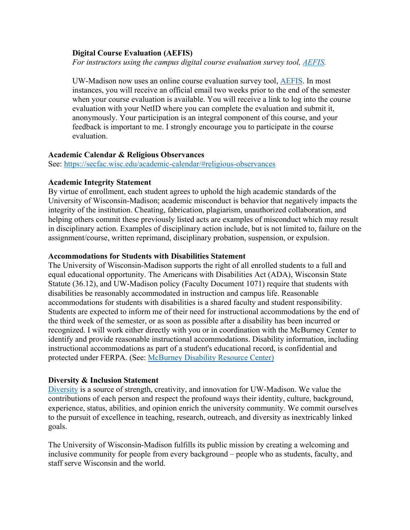#### **Digital Course Evaluation (AEFIS)**

 *For instructors using the campus digital course evaluation survey tool, AEFIS.* 

UW-Madison now uses an online course evaluation survey tool, AEFIS. In most instances, you will receive an official email two weeks prior to the end of the semester when your course evaluation is available. You will receive a link to log into the course evaluation with your NetID where you can complete the evaluation and submit it, anonymously. Your participation is an integral component of this course, and your feedback is important to me. I strongly encourage you to participate in the course evaluation.

#### **Academic Calendar & Religious Observances**

See: https://secfac.wisc.edu/academic-calendar/#religious-observances

#### **Academic Integrity Statement**

By virtue of enrollment, each student agrees to uphold the high academic standards of the University of Wisconsin-Madison; academic misconduct is behavior that negatively impacts the integrity of the institution. Cheating, fabrication, plagiarism, unauthorized collaboration, and helping others commit these previously listed acts are examples of misconduct which may result in disciplinary action. Examples of disciplinary action include, but is not limited to, failure on the assignment/course, written reprimand, disciplinary probation, suspension, or expulsion.

#### **Accommodations for Students with Disabilities Statement**

The University of Wisconsin-Madison supports the right of all enrolled students to a full and equal educational opportunity. The Americans with Disabilities Act (ADA), Wisconsin State Statute (36.12), and UW-Madison policy (Faculty Document 1071) require that students with disabilities be reasonably accommodated in instruction and campus life. Reasonable accommodations for students with disabilities is a shared faculty and student responsibility. Students are expected to inform me of their need for instructional accommodations by the end of the third week of the semester, or as soon as possible after a disability has been incurred or recognized. I will work either directly with you or in coordination with the McBurney Center to identify and provide reasonable instructional accommodations. Disability information, including instructional accommodations as part of a student's educational record, is confidential and protected under FERPA. (See: McBurney Disability Resource Center)

### **Diversity & Inclusion Statement**

Diversity is a source of strength, creativity, and innovation for UW-Madison. We value the contributions of each person and respect the profound ways their identity, culture, background, experience, status, abilities, and opinion enrich the university community. We commit ourselves to the pursuit of excellence in teaching, research, outreach, and diversity as inextricably linked goals.

The University of Wisconsin-Madison fulfills its public mission by creating a welcoming and inclusive community for people from every background – people who as students, faculty, and staff serve Wisconsin and the world.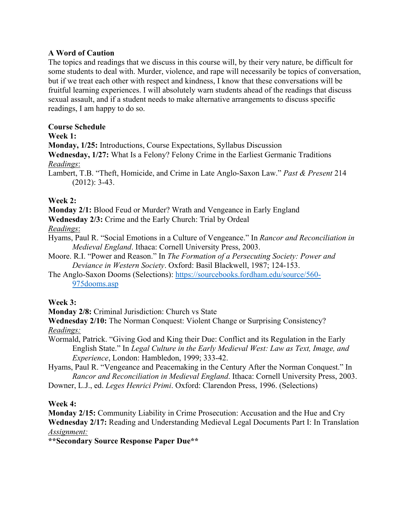## **A Word of Caution**

The topics and readings that we discuss in this course will, by their very nature, be difficult for some students to deal with. Murder, violence, and rape will necessarily be topics of conversation, but if we treat each other with respect and kindness, I know that these conversations will be fruitful learning experiences. I will absolutely warn students ahead of the readings that discuss sexual assault, and if a student needs to make alternative arrangements to discuss specific readings, I am happy to do so.

## **Course Schedule**

### **Week 1:**

**Monday, 1/25:** Introductions, Course Expectations, Syllabus Discussion

**Wednesday, 1/27:** What Is a Felony? Felony Crime in the Earliest Germanic Traditions *Readings*:

Lambert, T.B. "Theft, Homicide, and Crime in Late Anglo-Saxon Law." *Past & Present* 214 (2012): 3-43.

# **Week 2:**

**Monday 2/1:** Blood Feud or Murder? Wrath and Vengeance in Early England

**Wednesday 2/3:** Crime and the Early Church: Trial by Ordeal

*Readings*:

Hyams, Paul R. "Social Emotions in a Culture of Vengeance." In *Rancor and Reconciliation in Medieval England*. Ithaca: Cornell University Press, 2003.

Moore. R.I. "Power and Reason." In *The Formation of a Persecuting Society: Power and Deviance in Western Society*. Oxford: Basil Blackwell, 1987; 124-153.

The Anglo-Saxon Dooms (Selections): https://sourcebooks.fordham.edu/source/560- 975dooms.asp

### **Week 3:**

**Monday 2/8:** Criminal Jurisdiction: Church vs State

**Wednesday 2/10:** The Norman Conquest: Violent Change or Surprising Consistency? *Readings:* 

Wormald, Patrick. "Giving God and King their Due: Conflict and its Regulation in the Early English State." In *Legal Culture in the Early Medieval West: Law as Text, Image, and Experience*, London: Hambledon, 1999; 333-42.

Hyams, Paul R. "Vengeance and Peacemaking in the Century After the Norman Conquest." In *Rancor and Reconciliation in Medieval England*. Ithaca: Cornell University Press, 2003.

Downer, L.J., ed. *Leges Henrici Primi*. Oxford: Clarendon Press, 1996. (Selections)

# **Week 4:**

**Monday 2/15:** Community Liability in Crime Prosecution: Accusation and the Hue and Cry **Wednesday 2/17:** Reading and Understanding Medieval Legal Documents Part I: In Translation *Assignment:* 

**\*\*Secondary Source Response Paper Due\*\***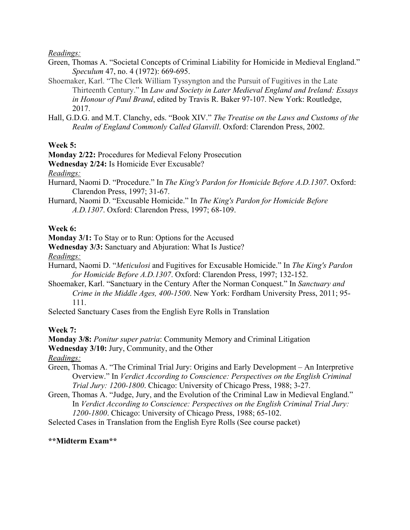*Readings:* 

- Green, Thomas A. "Societal Concepts of Criminal Liability for Homicide in Medieval England." *Speculum* 47, no. 4 (1972): 669-695.
- Shoemaker, Karl. "The Clerk William Tyssyngton and the Pursuit of Fugitives in the Late Thirteenth Century." In *Law and Society in Later Medieval England and Ireland: Essays in Honour of Paul Brand*, edited by Travis R. Baker 97-107. New York: Routledge, 2017.
- Hall, G.D.G. and M.T. Clanchy, eds. "Book XIV." *The Treatise on the Laws and Customs of the Realm of England Commonly Called Glanvill*. Oxford: Clarendon Press, 2002.

**Week 5:** 

**Monday 2/22:** Procedures for Medieval Felony Prosecution

**Wednesday 2/24:** Is Homicide Ever Excusable?

*Readings:* 

- Hurnard, Naomi D. "Procedure." In *The King's Pardon for Homicide Before A.D.1307*. Oxford: Clarendon Press, 1997; 31-67.
- Hurnard, Naomi D. "Excusable Homicide." In *The King's Pardon for Homicide Before A.D.1307*. Oxford: Clarendon Press, 1997; 68-109.

### **Week 6:**

**Monday 3/1:** To Stay or to Run: Options for the Accused

**Wednesday 3/3:** Sanctuary and Abjuration: What Is Justice?

*Readings:* 

- Hurnard, Naomi D. "*Meticulosi* and Fugitives for Excusable Homicide." In *The King's Pardon for Homicide Before A.D.1307*. Oxford: Clarendon Press, 1997; 132-152.
- Shoemaker, Karl. "Sanctuary in the Century After the Norman Conquest." In *Sanctuary and Crime in the Middle Ages, 400-1500*. New York: Fordham University Press, 2011; 95- 111.
- Selected Sanctuary Cases from the English Eyre Rolls in Translation

**Week 7:** 

**Monday 3/8:** *Ponitur super patria*: Community Memory and Criminal Litigation

**Wednesday 3/10:** Jury, Community, and the Other

*Readings:*

- Green, Thomas A. "The Criminal Trial Jury: Origins and Early Development An Interpretive Overview." In *Verdict According to Conscience: Perspectives on the English Criminal Trial Jury: 1200-1800*. Chicago: University of Chicago Press, 1988; 3-27.
- Green, Thomas A. "Judge, Jury, and the Evolution of the Criminal Law in Medieval England." In *Verdict According to Conscience: Perspectives on the English Criminal Trial Jury: 1200-1800*. Chicago: University of Chicago Press, 1988; 65-102.
- Selected Cases in Translation from the English Eyre Rolls (See course packet)

# **\*\*Midterm Exam\*\***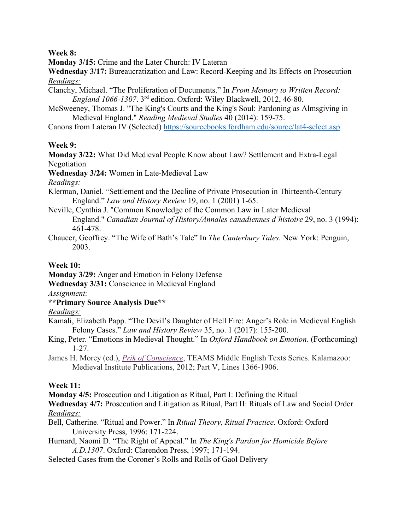### **Week 8:**

**Monday 3/15:** Crime and the Later Church: IV Lateran

**Wednesday 3/17:** Bureaucratization and Law: Record-Keeping and Its Effects on Prosecution *Readings:* 

- Clanchy, Michael. "The Proliferation of Documents." In *From Memory to Written Record: England 1066-1307*. 3rd edition. Oxford: Wiley Blackwell, 2012, 46-80.
- McSweeney, Thomas J. "The King's Courts and the King's Soul: Pardoning as Almsgiving in Medieval England." *Reading Medieval Studies* 40 (2014): 159-75.

Canons from Lateran IV (Selected) https://sourcebooks.fordham.edu/source/lat4-select.asp

# **Week 9:**

**Monday 3/22:** What Did Medieval People Know about Law? Settlement and Extra-Legal Negotiation

**Wednesday 3/24:** Women in Late-Medieval Law

*Readings:* 

- Klerman, Daniel. "Settlement and the Decline of Private Prosecution in Thirteenth-Century England." *Law and History Review* 19, no. 1 (2001) 1-65.
- Neville, Cynthia J. "Common Knowledge of the Common Law in Later Medieval England." *Canadian Journal of History/Annales canadiennes d'histoire* 29, no. 3 (1994): 461-478.
- Chaucer, Geoffrey. "The Wife of Bath's Tale" In *The Canterbury Tales*. New York: Penguin, 2003.

# **Week 10:**

**Monday 3/29:** Anger and Emotion in Felony Defense

**Wednesday 3/31:** Conscience in Medieval England

*Assignment:* 

**\*\*Primary Source Analysis Due\*\*** 

# *Readings:*

- Kamali, Elizabeth Papp. "The Devil's Daughter of Hell Fire: Anger's Role in Medieval English Felony Cases." *Law and History Review* 35, no. 1 (2017): 155-200.
- King, Peter. "Emotions in Medieval Thought." In *Oxford Handbook on Emotion*. (Forthcoming) 1-27.
- James H. Morey (ed.), *Prik of Conscience*, TEAMS Middle English Texts Series. Kalamazoo: Medieval Institute Publications, 2012; Part V, Lines 1366-1906.

# **Week 11:**

**Monday 4/5:** Prosecution and Litigation as Ritual, Part I: Defining the Ritual

**Wednesday 4/7:** Prosecution and Litigation as Ritual, Part II: Rituals of Law and Social Order *Readings:* 

- Bell, Catherine. "Ritual and Power." In *Ritual Theory, Ritual Practice*. Oxford: Oxford University Press, 1996; 171-224.
- Hurnard, Naomi D. "The Right of Appeal." In *The King's Pardon for Homicide Before A.D.1307*. Oxford: Clarendon Press, 1997; 171-194.
- Selected Cases from the Coroner's Rolls and Rolls of Gaol Delivery